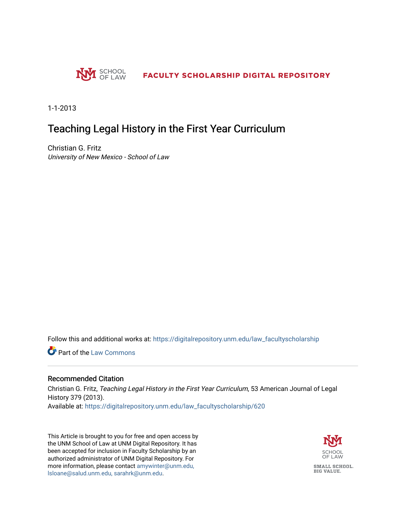

1-1-2013

# Teaching Legal History in the First Year Curriculum

Christian G. Fritz University of New Mexico - School of Law

Follow this and additional works at: [https://digitalrepository.unm.edu/law\\_facultyscholarship](https://digitalrepository.unm.edu/law_facultyscholarship?utm_source=digitalrepository.unm.edu%2Flaw_facultyscholarship%2F620&utm_medium=PDF&utm_campaign=PDFCoverPages) 

Part of the [Law Commons](http://network.bepress.com/hgg/discipline/578?utm_source=digitalrepository.unm.edu%2Flaw_facultyscholarship%2F620&utm_medium=PDF&utm_campaign=PDFCoverPages)

# Recommended Citation

Christian G. Fritz, Teaching Legal History in the First Year Curriculum, 53 American Journal of Legal History 379 (2013). Available at: [https://digitalrepository.unm.edu/law\\_facultyscholarship/620](https://digitalrepository.unm.edu/law_facultyscholarship/620?utm_source=digitalrepository.unm.edu%2Flaw_facultyscholarship%2F620&utm_medium=PDF&utm_campaign=PDFCoverPages) 

This Article is brought to you for free and open access by the UNM School of Law at UNM Digital Repository. It has been accepted for inclusion in Faculty Scholarship by an authorized administrator of UNM Digital Repository. For more information, please contact [amywinter@unm.edu,](mailto:amywinter@unm.edu,%20lsloane@salud.unm.edu,%20sarahrk@unm.edu)  [lsloane@salud.unm.edu, sarahrk@unm.edu.](mailto:amywinter@unm.edu,%20lsloane@salud.unm.edu,%20sarahrk@unm.edu)

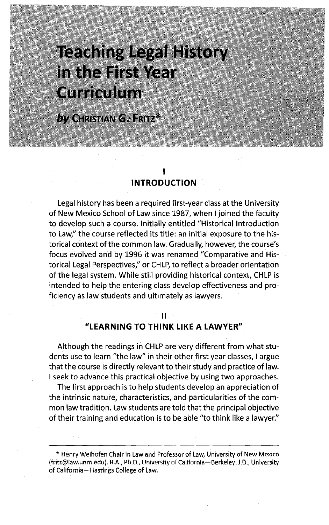# **Teaching Legal History** in the First Year Curriculum

**by CHRISTIAN G. FRITZ\*** 

## **I INTRODUCTION**

Legal history has been a required first-year class at the University of New Mexico School of Law since **1987,** when **I** joined the faculty to develop such a course. Initially entitled "Historical Introduction to Law," the course reflected its title: an initial exposure to the historical context of the common law. Gradually, however, the course's focus evolved and **by 1996** it was renamed "Comparative and Historical Legal Perspectives," or CHLP, to reflect a broader orientation of the legal system. While still providing historical context, CHLP is intended to help the entering class develop effectiveness and proficiency as law students and ultimately as lawyers.

#### **II**

## **"LEARNING TO THINK LIKE A LAWYER"**

Although the readings in CHLP are very different from what students use to learn "the law" in their other first year classes, **I** argue that the course is directly relevant to their study and practice of law. **I** seek to advance this practical objective **by** using two approaches.

The first approach is to help students develop an appreciation of the intrinsic nature, characteristics, and particularities of the common law tradition. Law students are told that the principal objective of their training and education is to be able "to think like a lawyer."

**\*** Henry Weihofen Chair in Law and Professor of Law, University of New Mexico (fritz@law.unm.edu). B.A., Ph.D., University of California-Berkeley; **J.D.,** University of California-Hastings College of Law.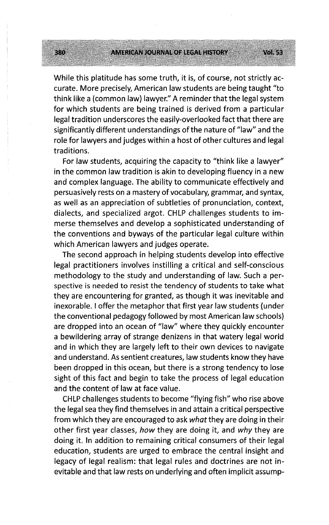#### **AMERICAN JOURNAL OF LEGAL HISTORY**

While this platitude has some truth, it is, of course, not strictly accurate. More precisely, American law students are being taught "to think like a (common law) lawyer." **A** reminder that the legal system for which students are being trained is derived from a particular legal tradition underscores the easily-overlooked fact that there are significantly different understandings of the nature of "law" and the role for lawyers and judges within a host of other cultures and legal traditions.

For law students, acquiring the capacity to "think like a lawyer" in the common law tradition is akin to developing fluency in a new and complex language. The ability to communicate effectively and persuasively rests on a mastery of vocabulary, grammar, and syntax, as well as an appreciation of subtleties of pronunciation, context, dialects, and specialized argot. CHLP challenges students to immerse themselves and develop a sophisticated understanding of the conventions and byways of the particular legal culture within which American lawyers and judges operate.

The second approach in helping students develop into effective legal practitioners involves instilling a critical and self-conscious methodology to the study and understanding of law. Such a perspective is needed to resist the tendency of students to take what they are encountering for granted, as though it was inevitable and inexorable. **I** offer the metaphor that first year law students (under the conventional pedagogy followed **by** most American law schools) are dropped into an ocean of "law" where they quickly encounter a bewildering array of strange denizens in that watery legal world and in which they are largely left to their own devices to navigate and understand. As sentient creatures, law students know they have been dropped in this ocean, but there is a strong tendency to lose sight of this fact and begin to take the process of legal education and the content of law at face value.

CHLP challenges students to become "flying fish" who rise above the legal sea they find themselves in and attain a critical perspective from which they are encouraged to ask what they are doing in their other first year classes, how they are doing it, and why they are doing it. In addition to remaining critical consumers of their legal education, students are urged to embrace the central insight and legacy of legal realism: that legal rules and doctrines are not inevitable and that law rests on underlying and often implicit assump-

380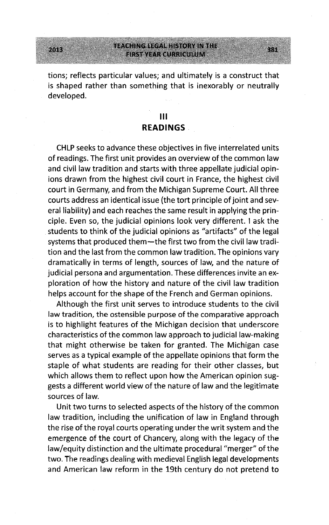#### **TEACHING LEGAL HISTORY IN THE FIRST YEAR CURRICULUM**

381

2013

tions; reflects particular values; and ultimately is a construct that is shaped rather than something that is inexorably or neutrally developed.

# **III READINGS**

CHLP seeks to advance these objectives in five interrelated units of readings. The first unit provides an overview of the common law and civil law tradition and starts with three appellate judicial opinions drawn from the highest civil court in France, the highest civil court in Germany, and from the Michigan Supreme Court. **All** three courts address an identical issue (the tort principle of joint and several liability) and each reaches the same result in applying the principle. Even so, the judicial opinions look very different. **I** ask the students to think of the judicial opinions as "artifacts" of the legal systems that produced them-the first two from the civil law tradition and the last from the common law tradition. The opinions vary dramatically in terms of length, sources of law, and the nature of judicial persona and argumentation. These differences invite an exploration of how the history and nature of the civil law tradition helps account for the shape of the French and German opinions.

Although the first unit serves to introduce students to the civil law tradition, the ostensible purpose of the comparative approach is to highlight features of the Michigan decision that underscore characteristics of the common law approach to judicial law-making that might otherwise be taken for granted. The Michigan case serves as a typical example of the appellate opinions that form the staple of what students are reading for their other classes, but which allows them to reflect upon how the American opinion suggests a different world view of the nature of law and the legitimate sources of law.

Unit two turns to selected aspects of the history of the common law tradition, including the unification of law in England through the rise of the royal courts operating under the writ system and the emergence of the court of Chancery, along with the legacy of the law/equity distinction and the ultimate procedural "merger" of the two. The readings dealing with medieval English legal developments and American law reform in the 19th century do not pretend to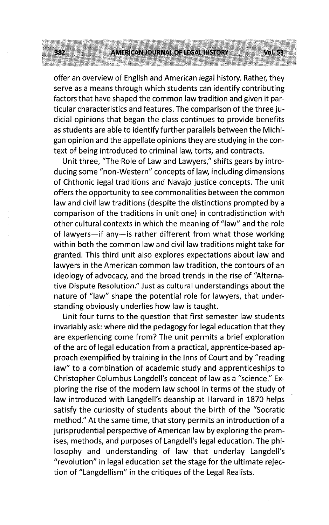#### **AMERICAN JOURNAL OF LEGAL HISTORY**

382

**Vol. 53** 

offer an overview of English and American legal history. Rather, they serve as a means through which students can identify contributing factors that have shaped the common law tradition and given **it** particular characteristics and features. The comparison of the three judicial opinions that began the class continues to provide benefits as students are able to identify further parallels between the Michigan opinion and the appellate opinions they are studying in the context of being introduced to criminal law, torts, and contracts.

Unit three, "The Role of Law and Lawyers," shifts gears **by** introducing some "non-Western" concepts of law, including dimensions of Chthonic legal traditions and Navajo justice concepts. The unit offers the opportunity to see commonalities between the common law and civil law traditions (despite the distinctions prompted **by** a comparison of the traditions in unit one) in contradistinction with other cultural contexts in which the meaning of "law" and the role of lawyers-if any-is rather different from what those working within both the common law and civil law traditions might take for granted. This third unit also explores expectations about law and lawyers in the American common law tradition, the contours of an ideology of advocacy, and the broad trends in the rise of "Alternative Dispute Resolution." **Just** as cultural understandings about the nature of "law" shape the potential role for lawyers, that understanding obviously underlies how law is taught.

Unit four turns to the question that first semester law students invariably ask: where did the pedagogy for legal education that they are experiencing come from? The unit permits a brief exploration of the arc of legal education from a practical, apprentice-based approach exemplified **by** training in the Inns of Court and **by** "reading law" to a combination of academic study and apprenticeships to Christopher Columbus Langdell's concept of law as a "science." Exploring the rise of the modern law school in terms of the study of law introduced with Langdell's deanship at Harvard in **1870** helps satisfy the curiosity of students about the birth of the "Socratic method." At the same time, that story permits an introduction of a jurisprudential perspective of American law **by** exploring the premises, methods, and purposes of Langdell's legal education. The philosophy and understanding of law that underlay Langdell's "revolution" in legal education set the stage for the ultimate rejection of "Langdellism" in the critiques of the Legal Realists.